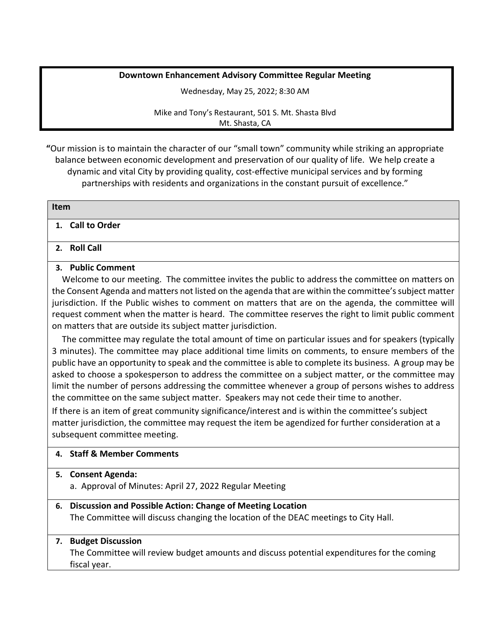# **Downtown Enhancement Advisory Committee Regular Meeting**

Wednesday, May 25, 2022; 8:30 AM

Mike and Tony's Restaurant, 501 S. Mt. Shasta Blvd Mt. Shasta, CA

**"**Our mission is to maintain the character of our "small town" community while striking an appropriate balance between economic development and preservation of our quality of life. We help create a dynamic and vital City by providing quality, cost-effective municipal services and by forming partnerships with residents and organizations in the constant pursuit of excellence."

| Item             |  |
|------------------|--|
| 1. Call to Order |  |

# **2. Roll Call**

## **3. Public Comment**

Welcome to our meeting. The committee invites the public to address the committee on matters on the Consent Agenda and matters not listed on the agenda that are within the committee's subject matter jurisdiction. If the Public wishes to comment on matters that are on the agenda, the committee will request comment when the matter is heard. The committee reserves the right to limit public comment on matters that are outside its subject matter jurisdiction.

The committee may regulate the total amount of time on particular issues and for speakers (typically 3 minutes). The committee may place additional time limits on comments, to ensure members of the public have an opportunity to speak and the committee is able to complete its business. A group may be asked to choose a spokesperson to address the committee on a subject matter, or the committee may limit the number of persons addressing the committee whenever a group of persons wishes to address the committee on the same subject matter. Speakers may not cede their time to another.

If there is an item of great community significance/interest and is within the committee's subject matter jurisdiction, the committee may request the item be agendized for further consideration at a subsequent committee meeting.

## **4. Staff & Member Comments**

## **5. Consent Agenda:**

- a. Approval of Minutes: April 27, 2022 Regular Meeting
- **6. Discussion and Possible Action: Change of Meeting Location** The Committee will discuss changing the location of the DEAC meetings to City Hall.

## **7. Budget Discussion**

The Committee will review budget amounts and discuss potential expenditures for the coming fiscal year.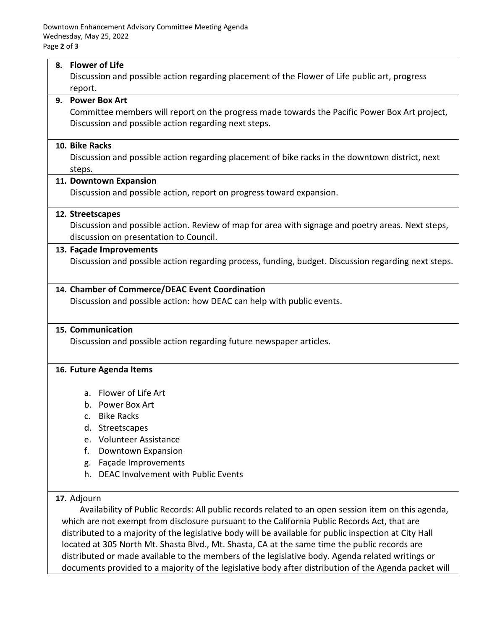### **8. Flower of Life**

Discussion and possible action regarding placement of the Flower of Life public art, progress report.

# **9. Power Box Art**

Committee members will report on the progress made towards the Pacific Power Box Art project, Discussion and possible action regarding next steps.

### **10. Bike Racks**

Discussion and possible action regarding placement of bike racks in the downtown district, next steps.

### **11. Downtown Expansion**

Discussion and possible action, report on progress toward expansion.

#### **12. Streetscapes**

Discussion and possible action. Review of map for area with signage and poetry areas. Next steps, discussion on presentation to Council.

#### **13. Façade Improvements**

Discussion and possible action regarding process, funding, budget. Discussion regarding next steps.

### **14. Chamber of Commerce/DEAC Event Coordination**

Discussion and possible action: how DEAC can help with public events.

#### **15. Communication**

Discussion and possible action regarding future newspaper articles.

#### **16. Future Agenda Items**

- a. Flower of Life Art
- b. Power Box Art
- c. Bike Racks
- d. Streetscapes
- e. Volunteer Assistance
- f. Downtown Expansion
- g. Façade Improvements
- h. DEAC Involvement with Public Events

# **17.** Adjourn

Availability of Public Records: All public records related to an open session item on this agenda, which are not exempt from disclosure pursuant to the California Public Records Act, that are distributed to a majority of the legislative body will be available for public inspection at City Hall located at 305 North Mt. Shasta Blvd., Mt. Shasta, CA at the same time the public records are distributed or made available to the members of the legislative body. Agenda related writings or documents provided to a majority of the legislative body after distribution of the Agenda packet will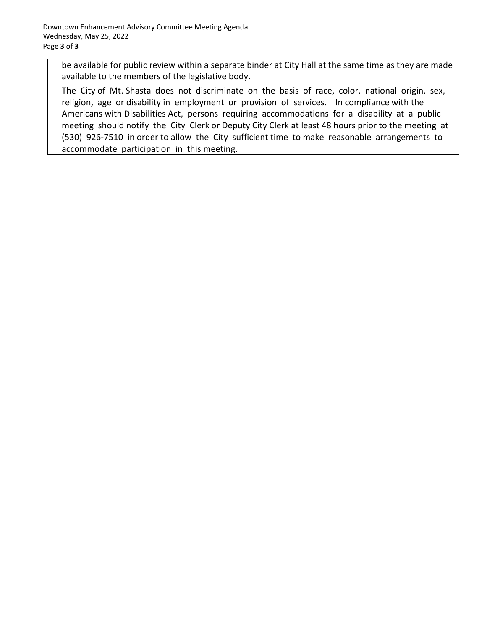be available for public review within a separate binder at City Hall at the same time as they are made available to the members of the legislative body.

The City of Mt. Shasta does not discriminate on the basis of race, color, national origin, sex, religion, age or disability in employment or provision of services. In compliance with the Americans with Disabilities Act, persons requiring accommodations for a disability at a public meeting should notify the City Clerk or Deputy City Clerk at least 48 hours prior to the meeting at (530) 926-7510 in order to allow the City sufficient time to make reasonable arrangements to accommodate participation in this meeting.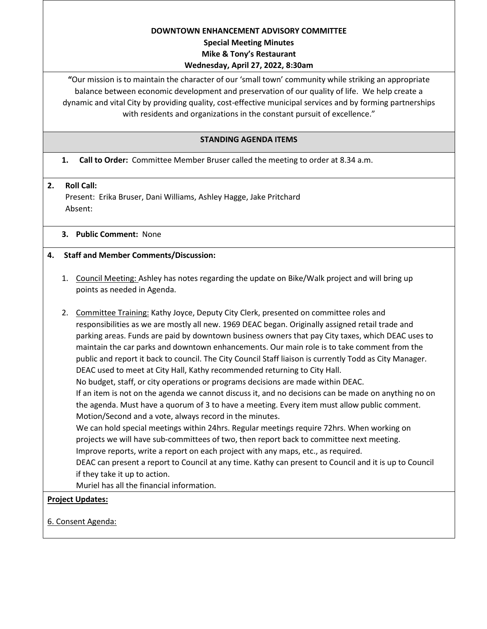#### **DOWNTOWN ENHANCEMENT ADVISORY COMMITTEE**

### **Special Meeting Minutes**

## **Mike & Tony's Restaurant**

# **Wednesday, April 27, 2022, 8:30am**

**"**Our mission is to maintain the character of our 'small town' community while striking an appropriate balance between economic development and preservation of our quality of life. We help create a dynamic and vital City by providing quality, cost-effective municipal services and by forming partnerships with residents and organizations in the constant pursuit of excellence."

# **STANDING AGENDA ITEMS**

# **1. Call to Order:** Committee Member Bruser called the meeting to order at 8.34 a.m.

# **2. Roll Call:**

Present: Erika Bruser, Dani Williams, Ashley Hagge, Jake Pritchard Absent:

# **3. Public Comment:** None

# **4. Staff and Member Comments/Discussion:**

1. Council Meeting: Ashley has notes regarding the update on Bike/Walk project and will bring up points as needed in Agenda.

2. Committee Training: Kathy Joyce, Deputy City Clerk, presented on committee roles and responsibilities as we are mostly all new. 1969 DEAC began. Originally assigned retail trade and parking areas. Funds are paid by downtown business owners that pay City taxes, which DEAC uses to maintain the car parks and downtown enhancements. Our main role is to take comment from the public and report it back to council. The City Council Staff liaison is currently Todd as City Manager. DEAC used to meet at City Hall, Kathy recommended returning to City Hall. No budget, staff, or city operations or programs decisions are made within DEAC. If an item is not on the agenda we cannot discuss it, and no decisions can be made on anything no on the agenda. Must have a quorum of 3 to have a meeting. Every item must allow public comment. Motion/Second and a vote, always record in the minutes. We can hold special meetings within 24hrs. Regular meetings require 72hrs. When working on projects we will have sub-committees of two, then report back to committee next meeting. Improve reports, write a report on each project with any maps, etc., as required. DEAC can present a report to Council at any time. Kathy can present to Council and it is up to Council if they take it up to action. Muriel has all the financial information.

## **Project Updates:**

6. Consent Agenda: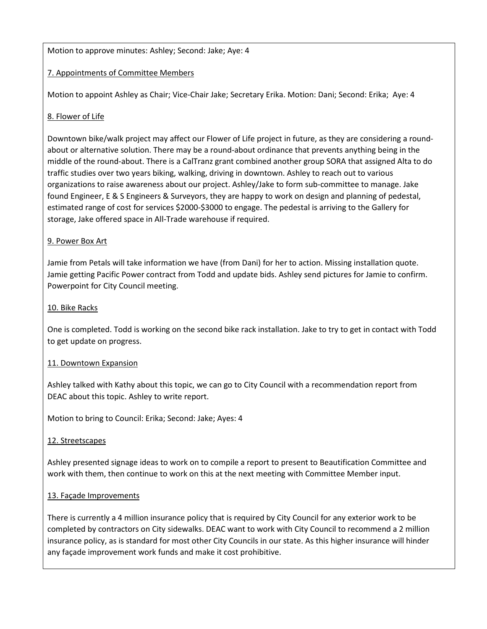## Motion to approve minutes: Ashley; Second: Jake; Aye: 4

## 7. Appointments of Committee Members

Motion to appoint Ashley as Chair; Vice-Chair Jake; Secretary Erika. Motion: Dani; Second: Erika; Aye: 4

# 8. Flower of Life

Downtown bike/walk project may affect our Flower of Life project in future, as they are considering a roundabout or alternative solution. There may be a round-about ordinance that prevents anything being in the middle of the round-about. There is a CalTranz grant combined another group SORA that assigned Alta to do traffic studies over two years biking, walking, driving in downtown. Ashley to reach out to various organizations to raise awareness about our project. Ashley/Jake to form sub-committee to manage. Jake found Engineer, E & S Engineers & Surveyors, they are happy to work on design and planning of pedestal, estimated range of cost for services \$2000-\$3000 to engage. The pedestal is arriving to the Gallery for storage, Jake offered space in All-Trade warehouse if required.

## 9. Power Box Art

Jamie from Petals will take information we have (from Dani) for her to action. Missing installation quote. Jamie getting Pacific Power contract from Todd and update bids. Ashley send pictures for Jamie to confirm. Powerpoint for City Council meeting.

## 10. Bike Racks

One is completed. Todd is working on the second bike rack installation. Jake to try to get in contact with Todd to get update on progress.

## 11. Downtown Expansion

Ashley talked with Kathy about this topic, we can go to City Council with a recommendation report from DEAC about this topic. Ashley to write report.

Motion to bring to Council: Erika; Second: Jake; Ayes: 4

## 12. Streetscapes

Ashley presented signage ideas to work on to compile a report to present to Beautification Committee and work with them, then continue to work on this at the next meeting with Committee Member input.

## 13. Façade Improvements

There is currently a 4 million insurance policy that is required by City Council for any exterior work to be completed by contractors on City sidewalks. DEAC want to work with City Council to recommend a 2 million insurance policy, as is standard for most other City Councils in our state. As this higher insurance will hinder any façade improvement work funds and make it cost prohibitive.